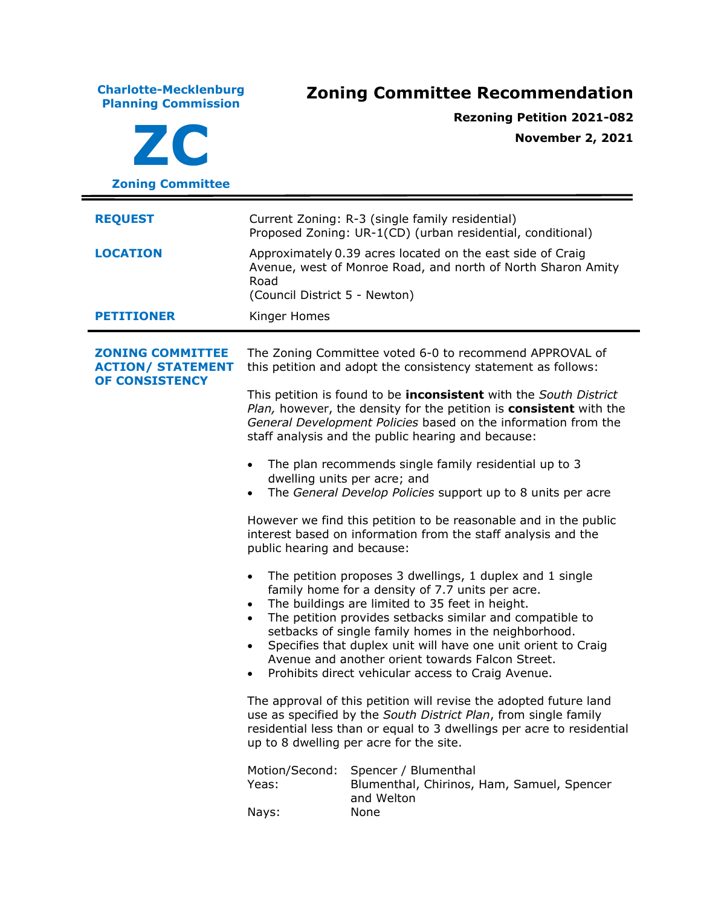**Charlotte-Mecklenburg Planning Commission Zoning Committee Recommendation ZC Zoning Committee Rezoning Petition 2021-082 November 2, 2021 REQUEST** Current Zoning: R-3 (single family residential) Proposed Zoning: UR-1(CD) (urban residential, conditional) **LOCATION** Approximately 0.39 acres located on the east side of Craig Avenue, west of Monroe Road, and north of North Sharon Amity Road (Council District 5 - Newton) **PETITIONER** Kinger Homes **ZONING COMMITTEE ACTION/ STATEMENT OF CONSISTENCY** The Zoning Committee voted 6-0 to recommend APPROVAL of this petition and adopt the consistency statement as follows: This petition is found to be **inconsistent** with the *South District Plan,* however, the density for the petition is **consistent** with the *General Development Policies* based on the information from the staff analysis and the public hearing and because: • The plan recommends single family residential up to 3 dwelling units per acre; and • The *General Develop Policies* support up to 8 units per acre However we find this petition to be reasonable and in the public interest based on information from the staff analysis and the public hearing and because: • The petition proposes 3 dwellings, 1 duplex and 1 single family home for a density of 7.7 units per acre. The buildings are limited to 35 feet in height. • The petition provides setbacks similar and compatible to setbacks of single family homes in the neighborhood. • Specifies that duplex unit will have one unit orient to Craig Avenue and another orient towards Falcon Street. • Prohibits direct vehicular access to Craig Avenue. The approval of this petition will revise the adopted future land use as specified by the *South District Plan*, from single family residential less than or equal to 3 dwellings per acre to residential up to 8 dwelling per acre for the site. Motion/Second: Spencer / Blumenthal Yeas: Blumenthal, Chirinos, Ham, Samuel, Spencer and Welton Nays: None